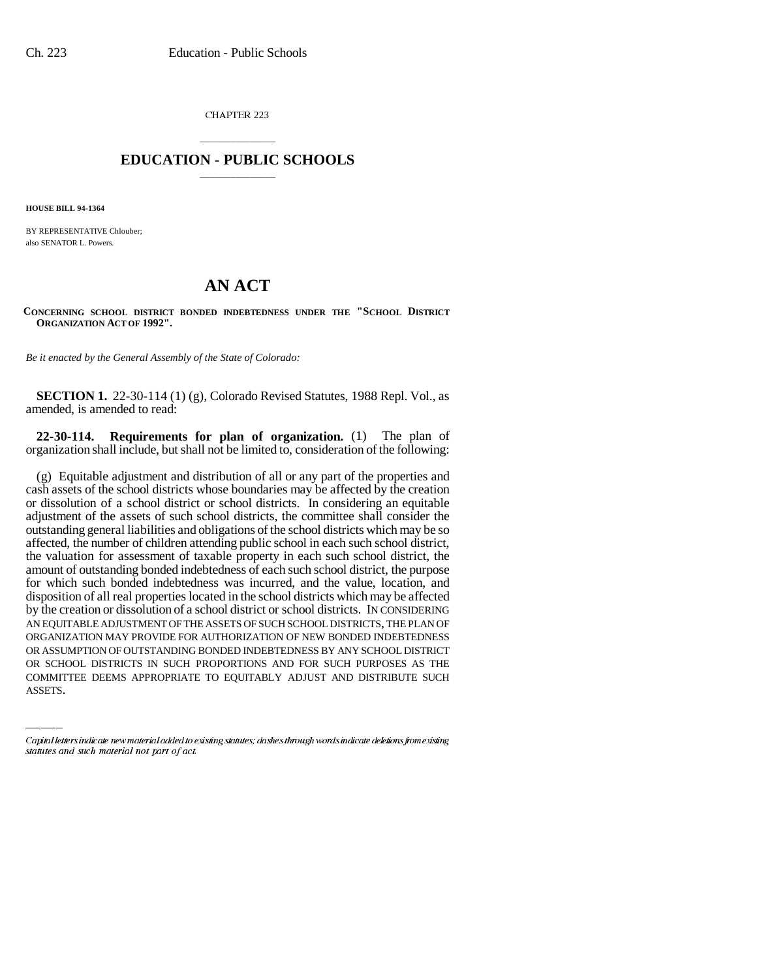CHAPTER 223

## \_\_\_\_\_\_\_\_\_\_\_\_\_\_\_ **EDUCATION - PUBLIC SCHOOLS** \_\_\_\_\_\_\_\_\_\_\_\_\_\_\_

**HOUSE BILL 94-1364**

BY REPRESENTATIVE Chlouber; also SENATOR L. Powers.

## **AN ACT**

**CONCERNING SCHOOL DISTRICT BONDED INDEBTEDNESS UNDER THE "SCHOOL DISTRICT ORGANIZATION ACT OF 1992".**

*Be it enacted by the General Assembly of the State of Colorado:*

**SECTION 1.** 22-30-114 (1) (g), Colorado Revised Statutes, 1988 Repl. Vol., as amended, is amended to read:

**22-30-114. Requirements for plan of organization.** (1) The plan of organization shall include, but shall not be limited to, consideration of the following:

ORGANIZATION MAY PROVIDE FOR AUTHORIZATION OF NEW BONDED INDEBTEDNESS (g) Equitable adjustment and distribution of all or any part of the properties and cash assets of the school districts whose boundaries may be affected by the creation or dissolution of a school district or school districts. In considering an equitable adjustment of the assets of such school districts, the committee shall consider the outstanding general liabilities and obligations of the school districts which may be so affected, the number of children attending public school in each such school district, the valuation for assessment of taxable property in each such school district, the amount of outstanding bonded indebtedness of each such school district, the purpose for which such bonded indebtedness was incurred, and the value, location, and disposition of all real properties located in the school districts which may be affected by the creation or dissolution of a school district or school districts. IN CONSIDERING AN EQUITABLE ADJUSTMENT OF THE ASSETS OF SUCH SCHOOL DISTRICTS, THE PLAN OF OR ASSUMPTION OF OUTSTANDING BONDED INDEBTEDNESS BY ANY SCHOOL DISTRICT OR SCHOOL DISTRICTS IN SUCH PROPORTIONS AND FOR SUCH PURPOSES AS THE COMMITTEE DEEMS APPROPRIATE TO EQUITABLY ADJUST AND DISTRIBUTE SUCH ASSETS.

Capital letters indicate new material added to existing statutes; dashes through words indicate deletions from existing statutes and such material not part of act.